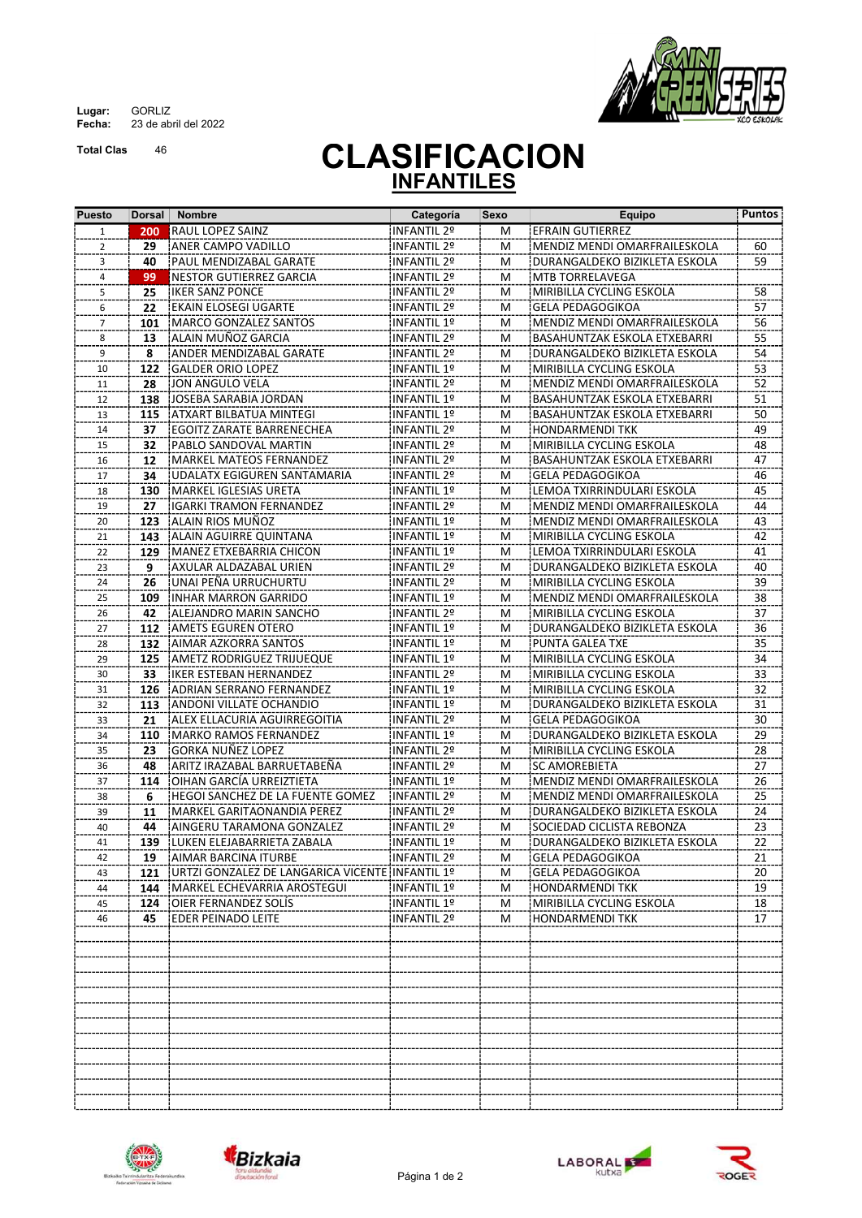Lugar: GORLIZ Fecha: 23 de abril del 2022

Total Clas 46



## **CLASIFICACION** INFANTILES

| <b>Puesto</b>  | Dorsal | <b>Nombre</b>                                   | Categoría          | Sexo | Equipo                        | <b>Puntos</b>   |
|----------------|--------|-------------------------------------------------|--------------------|------|-------------------------------|-----------------|
| $\mathbf{1}$   | 200    | <b>RAUL LOPEZ SAINZ</b>                         | <b>INFANTIL 2º</b> | M    | <b>EFRAIN GUTIERREZ</b>       |                 |
| $\overline{2}$ | 29     | ANER CAMPO VADILLO                              | INFANTIL 2º        | M    | MENDIZ MENDI OMARFRAILESKOLA  | 60              |
| 3              | 40     | PAUL MENDIZABAL GARATE!                         | INFANTIL 2º        | м    | DURANGALDEKO BIZIKLETA ESKOLA | 59              |
| 4              | 99     | NESTOR GUTIERREZ GARCIA                         | INFANTIL 2º        | М    | MTB TORRELAVEGA               |                 |
| 5              | 25     | <b>IKER SANZ PONCE</b>                          | INFANTIL 2º        | M    | MIRIBILLA CYCLING ESKOLA      | 58              |
| 6              | 22     | EKAIN ELOSEGI UGARTE!                           | INFANTIL 2º        | M    | GELA PEDAGOGIKOA              | 57              |
| 7              | 101    | iMARCO GONZALEZ SANTOS                          | INFANTIL 1º        | м    | MENDIZ MENDI OMARFRAILESKOLA  | 56              |
| 8              | 13     | ALAIN MUÑOZ GARCIA                              | INFANTIL 2º        | М    | BASAHUNTZAK ESKOLA ETXEBARRI  | 55              |
| 9              | 8      | ANDER MENDIZABAL GARATE                         | <b>INFANTIL 2º</b> | М    | DURANGALDEKO BIZIKLETA ESKOLA | 54              |
| 10             | 122    | <b>GALDER ORIO LOPEZ</b>                        | INFANTIL 1º        | М    | MIRIBILLA CYCLING ESKOLA      | 53              |
| 11             | 28     | JON ANGULO VELA                                 | INFANTIL 2º        | M    | MENDIZ MENDI OMARFRAILESKOLA  | $\overline{52}$ |
| 12             | 138    | IJOSEBA SARABIA JORDAN                          | INFANTIL 1º        | М    | BASAHUNTZAK ESKOLA ETXEBARRI  | 51              |
| 13             | 115    | iATXART BILBATUA MINTEGI                        | INFANTIL 1º        | м    | BASAHUNTZAK ESKOLA ETXEBARRI  | 50              |
| 14             | 37     | EGOITZ ZARATE BARRENECHEA                       | INFANTIL 2º        | M    | <b>HONDARMENDI TKK</b>        | 49              |
| 15             | 32     | PABLO SANDOVAL MARTIN!                          | INFANTIL 2º        | м    | MIRIBILLA CYCLING ESKOLA      | 48              |
| 16             | 12     | MARKEL MATEOS FERNANDEZ                         | INFANTIL 2º        | М    | BASAHUNTZAK ESKOLA ETXEBARRI  | 47              |
| 17             | 34     | UDALATX EGIGUREN SANTAMARIA                     | <b>INFANTIL 2º</b> | М    | GELA PEDAGOGIKOA              | 46              |
| 18             | 130    | İMARKEL IGLESIAS URETA                          | INFANTIL 1º        | M    | LEMOA TXIRRINDULARI ESKOLA    | 45              |
| 19             | 27     | IIGARKI TRAMON FERNANDEZ                        | INFANTIL 2º        | M    | MENDIZ MENDI OMARFRAILESKOLA  | 44              |
| 20             | 123    | ALAIN RIOS MUÑOZ                                | INFANTIL 1º        | м    | MENDIZ MENDI OMARFRAILESKOLA  | 43              |
| 21             | 143    | ALAIN AGUIRRE QUINTANA                          | <b>INFANTIL 1º</b> | М    | MIRIBILLA CYCLING ESKOLA      | 42              |
| 22             | 129    | MANEZ ETXEBARRIA CHICON                         | INFANTIL 1º        | M    | LEMOA TXIRRINDULARI ESKOLA    | 41              |
| 23             | 9      | AXULAR ALDAZABAL URIEN                          | INFANTIL 2º        | M    | DURANGALDEKO BIZIKLETA ESKOLA | 40              |
| 24             | 26     | IUNAI PEÑA URRUCHURTU                           | INFANTIL 2º        | М    | MIRIBILLA CYCLING ESKOLA      | 39              |
| 25             | 109    | INHAR MARRON GARRIDO                            | INFANTIL 1º        | М    | MENDIZ MENDI OMARFRAILESKOLA  | 38              |
| 26             | 42     | ALEJANDRO MARIN SANCHO                          | <b>INFANTIL 2º</b> | M    | MIRIBILLA CYCLING ESKOLA      | 37              |
| 27             | 112    | <b>AMETS EGUREN OTERO</b>                       | INFANTIL 1º        | M    | DURANGALDEKO BIZIKLETA ESKOLA | 36              |
| 28             | 132    | AIMAR AZKORRA SANTOS!                           | INFANTIL 1º        | м    | PUNTA GALEA TXE               | 35              |
| 29             | 125    | AMETZ RODRIGUEZ TRIJUEQUE!                      | INFANTIL 1º        | М    | MIRIBILLA CYCLING ESKOLA      | 34              |
| 30             | 33     | IKER ESTEBAN HERNANDEZ                          | INFANTIL 2º        | М    | MIRIBILLA CYCLING ESKOLA      | 33              |
| 31             | 126    | ¡ADRIAN SERRANO FERNANDEZ                       | INFANTIL 1º        | М    | MIRIBILLA CYCLING ESKOLA      | 32              |
| 32             | 113    | ANDONI VILLATE OCHANDIO                         | INFANTIL 1º        | М    | DURANGALDEKO BIZIKLETA ESKOLA | 31              |
| 33             | 21     | ALEX ELLACURIA AGUIRREGOITIA!                   | INFANTIL 2º        | М    | GELA PEDAGOGIKOA              | 30              |
| 34             | 110    | !MARKO RAMOS FERNANDEZ                          | INFANTIL 1º        | м    | DURANGALDEKO BIZIKLETA ESKOLA | 29              |
| 35             | 23     | GORKA NUÑEZ LOPEZ                               | INFANTIL 2º        | M    | MIRIBILLA CYCLING ESKOLA      | 28              |
| 36             | 48     | İARITZ IRAZABAL BARRUETABEÑA                    | INFANTIL 2º        | м    | <b>SC AMOREBIETA</b>          | 27              |
| 37             | 114    | OIHAN GARCÍA URREIZTIETA                        | INFANTIL 1º        | М    | MENDIZ MENDI OMARFRAILESKOLA  | 26              |
| 38             | 6      | HEGOI SANCHEZ DE LA FUENTE GOMEZ                | <b>INFANTIL 2º</b> | М    | MENDIZ MENDI OMARFRAILESKOLA  | 25              |
| 39             | 11     | !MARKEL GARITAONANDIA PEREZ                     | INFANTIL 2º        | M    | DURANGALDEKO BIZIKLETA ESKOLA | 24              |
| 40             | 44     | AINGERU TARAMONA GONZALEZ                       | <b>INFANTIL 2º</b> | м    | SOCIEDAD CICLISTA REBONZA     | $\overline{23}$ |
| 41             | 139    | ILUKEN ELEJABARRIETA ZABALA                     | <b>INFANTIL 1º</b> | М    | DURANGALDEKO BIZIKLETA ESKOLA | 22              |
| 42             | 19     | JAIMAR BARCINA ITURBE                           | INFANTIL 2º        | M    | GELA PEDAGOGIKOA              | 21              |
| 43             | 121    | URTZI GONZALEZ DE LANGARICA VICENTE INFANTIL 1º |                    | м    | GELA PEDAGOGIKOA              | 20              |
| 44             | 144    | MARKEL ECHEVARRIA AROSTEGUI                     | INFANTIL 1º        | M    | <b>HONDARMENDI TKK</b>        | 19              |
| 45             |        | 124 JOIER FERNANDEZ SOLIS                       | INFANTIL 1º        | M    | MIRIBILLA CYCLING ESKOLA      | 18              |
| 46             | 45.    | EDER PEINADO LEITE                              | INFANTIL 2º        | M    | HONDARMENDI TKK               | 17              |
|                |        |                                                 |                    |      |                               |                 |
|                |        |                                                 |                    |      |                               |                 |
|                |        |                                                 |                    |      |                               |                 |
|                |        |                                                 |                    |      |                               |                 |
|                |        |                                                 |                    |      |                               |                 |
|                |        |                                                 |                    |      |                               |                 |
|                |        |                                                 |                    |      |                               |                 |
|                |        |                                                 |                    |      |                               |                 |
|                |        |                                                 |                    |      |                               |                 |
|                |        |                                                 |                    |      |                               |                 |
|                |        |                                                 |                    |      |                               |                 |
|                |        |                                                 |                    |      |                               |                 |